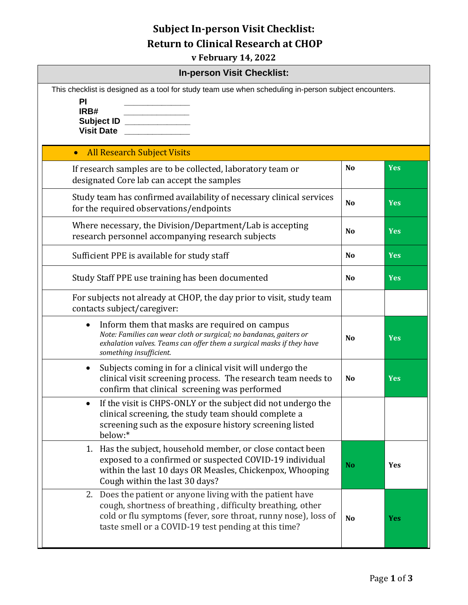## **Subject In-person Visit Checklist: Return to Clinical Research at CHOP**

**v February 14, 2022**

| <b>In-person Visit Checklist:</b>                                                                                                                                                                                                                  |                |            |  |  |
|----------------------------------------------------------------------------------------------------------------------------------------------------------------------------------------------------------------------------------------------------|----------------|------------|--|--|
| This checklist is designed as a tool for study team use when scheduling in-person subject encounters.<br>PI<br>IRB#<br>Subject ID _________<br><b>Visit Date</b>                                                                                   |                |            |  |  |
| <b>All Research Subject Visits</b><br>$\bullet$                                                                                                                                                                                                    |                |            |  |  |
| If research samples are to be collected, laboratory team or<br>designated Core lab can accept the samples                                                                                                                                          | <b>No</b>      | <b>Yes</b> |  |  |
| Study team has confirmed availability of necessary clinical services<br>for the required observations/endpoints                                                                                                                                    | N <sub>o</sub> | <b>Yes</b> |  |  |
| Where necessary, the Division/Department/Lab is accepting<br>research personnel accompanying research subjects                                                                                                                                     | N <sub>o</sub> | <b>Yes</b> |  |  |
| Sufficient PPE is available for study staff                                                                                                                                                                                                        | <b>No</b>      | <b>Yes</b> |  |  |
| Study Staff PPE use training has been documented                                                                                                                                                                                                   | N <sub>o</sub> | <b>Yes</b> |  |  |
| For subjects not already at CHOP, the day prior to visit, study team<br>contacts subject/caregiver:                                                                                                                                                |                |            |  |  |
| Inform them that masks are required on campus<br>$\bullet$<br>Note: Families can wear cloth or surgical; no bandanas, gaiters or<br>exhalation valves. Teams can offer them a surgical masks if they have<br>something insufficient.               | N <sub>o</sub> | <b>Yes</b> |  |  |
| Subjects coming in for a clinical visit will undergo the<br>$\bullet$<br>clinical visit screening process. The research team needs to<br>confirm that clinical screening was performed                                                             | N <sub>o</sub> | <b>Yes</b> |  |  |
| If the visit is CHPS-ONLY or the subject did not undergo the<br>clinical screening, the study team should complete a<br>screening such as the exposure history screening listed<br>below:*                                                         |                |            |  |  |
| 1. Has the subject, household member, or close contact been<br>exposed to a confirmed or suspected COVID-19 individual<br>within the last 10 days OR Measles, Chickenpox, Whooping<br>Cough within the last 30 days?                               | <b>No</b>      | Yes        |  |  |
| 2. Does the patient or anyone living with the patient have<br>cough, shortness of breathing, difficulty breathing, other<br>cold or flu symptoms (fever, sore throat, runny nose), loss of<br>taste smell or a COVID-19 test pending at this time? | <b>No</b>      | <b>Yes</b> |  |  |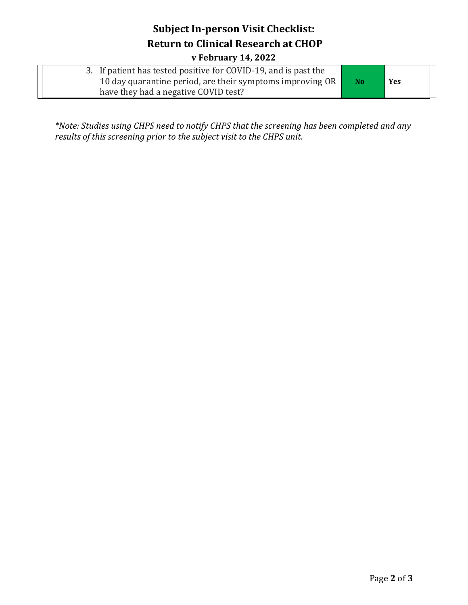## **Subject In-person Visit Checklist: Return to Clinical Research at CHOP**

**v February 14, 2022**

| 3. If patient has tested positive for COVID-19, and is past the |                |     |
|-----------------------------------------------------------------|----------------|-----|
| 10 day quarantine period, are their symptoms improving OR       | N <sub>o</sub> | Yes |
| have they had a negative COVID test?                            |                |     |

*\*Note: Studies using CHPS need to notify CHPS that the screening has been completed and any results of this screening prior to the subject visit to the CHPS unit.*